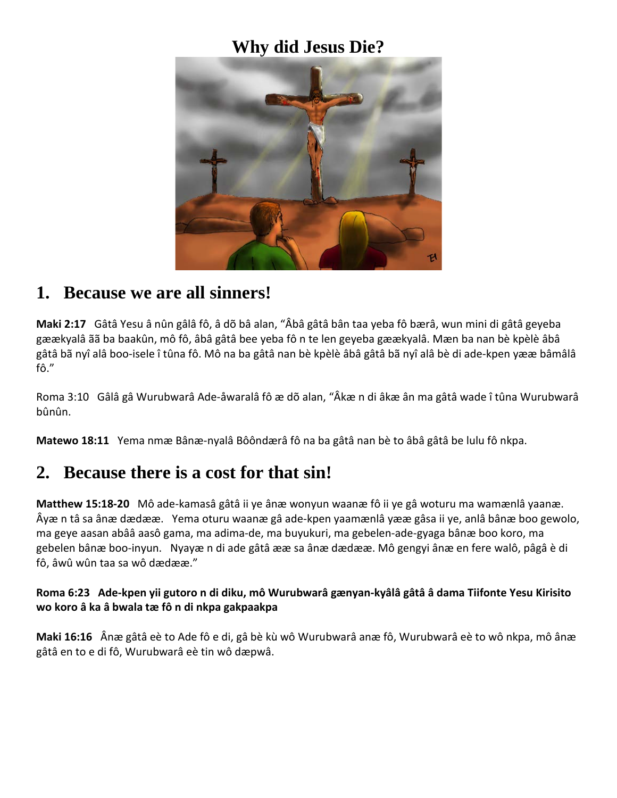# **Why did Jesus Die?**



#### **1. Because we are all sinners!**

**Maki 2:17** Gâtâ Yesu â nûn gâlâ fô, â dõ bâ alan, "Âbâ gâtâ bân taa yeba fô bærâ, wun mini di gâtâ geyeba gæækyalâ ãã ba baakûn, mô fô, âbâ gâtâ bee yeba fô n te len geyeba gæækyalâ. Mæn ba nan bè kpèlè âbâ gâtâ bã nyî alâ boo-isele î tûna fô. Mô na ba gâtâ nan bè kpèlè âbâ gâtâ bã nyî alâ bè di ade-kpen yææ bâmâlâ fô."

Roma 3:10 Gâlâ gâ Wurubwarâ Ade-åwaralâ fô æ dõ alan, "Âkæ n di âkæ ân ma gâtâ wade î tûna Wurubwarâ bûnûn.

**Matewo 18:11** Yema nmæ Bânæ-nyalâ Bôôndærâ fô na ba gâtâ nan bè to âbâ gâtâ be lulu fô nkpa.

#### **2. Because there is a cost for that sin!**

**Matthew 15:18-20** Mô ade-kamasâ gâtâ ii ye ânæ wonyun waanæ fô ii ye gâ woturu ma wamænlâ yaanæ. Âyæ n tâ sa ânæ dædææ. Yema oturu waanæ gâ ade-kpen yaamænlâ yææ gâsa ii ye, anlâ bânæ boo gewolo, ma geye aasan abââ aasô gama, ma adima-de, ma buyukuri, ma gebelen-ade-gyaga bânæ boo koro, ma gebelen bânæ boo-inyun. Nyayæ n di ade gâtâ ææ sa ânæ dædææ. Mô gengyi ânæ en fere walô, pâgâ è di fô, âwû wûn taa sa wô dædææ."

#### **Roma 6:23 Ade-kpen yii gutoro n di diku, mô Wurubwarâ gænyan-kyâlâ gâtâ â dama Tiifonte Yesu Kirisito wo koro â ka â bwala tæ fô n di nkpa gakpaakpa**

**Maki 16:16** Ânæ gâtâ eè to Ade fô e di, gâ bè kù wô Wurubwarâ anæ fô, Wurubwarâ eè to wô nkpa, mô ânæ gâtâ en to e di fô, Wurubwarâ eè tin wô dæpwâ.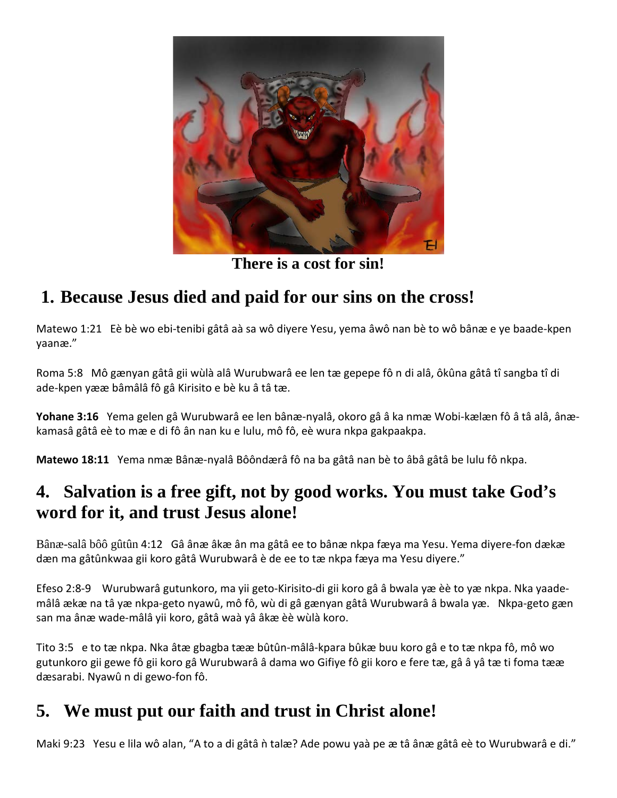

**There is a cost for sin!**

# **1. Because Jesus died and paid for our sins on the cross!**

Matewo 1:21Eè bè wo ebi-tenibi gâtâ aà sa wô diyere Yesu, yema âwô nan bè to wô bânæ e ye baade-kpen yaanæ."

Roma 5:8 Mô gænyan gâtâ gii wùlà alâ Wurubwarâ ee len tæ gepepe fô n di alâ, ôkûna gâtâ tî sangba tî di ade-kpen yææ bâmâlâ fô gâ Kirisito e bè ku â tâ tæ.

**Yohane 3:16** Yema gelen gâ Wurubwarâ ee len bânæ-nyalâ, okoro gâ â ka nmæ Wobi-kælæn fô â tâ alâ, ânækamasâ gâtâ eè to mæ e di fô ân nan ku e lulu, mô fô, eè wura nkpa gakpaakpa.

**Matewo 18:11** Yema nmæ Bânæ-nyalâ Bôôndærâ fô na ba gâtâ nan bè to âbâ gâtâ be lulu fô nkpa.

### **4. Salvation is a free gift, not by good works. You must take God's word for it, and trust Jesus alone!**

Bânæ-salâ bôô gûtûn 4:12 Gâ ânæ âkæ ân ma gâtâ ee to bânæ nkpa fæya ma Yesu. Yema diyere-fon dækæ dæn ma gâtûnkwaa gii koro gâtâ Wurubwarâ è de ee to tæ nkpa fæya ma Yesu diyere."

Efeso 2:8-9 Wurubwarâ gutunkoro, ma yii geto-Kirisito-di gii koro gâ â bwala yæ èè to yæ nkpa. Nka yaademâlâ ækæ na tâ yæ nkpa-geto nyawû, mô fô, wù di gâ gænyan gâtâ Wurubwarâ â bwala yæ. Nkpa-geto gæn san ma ânæ wade-mâlâ yii koro, gâtâ waà yâ âkæ èè wùlà koro.

Tito 3:5 e to tæ nkpa. Nka âtæ gbagba tææ bûtûn-mâlâ-kpara bûkæ buu koro gâ e to tæ nkpa fô, mô wo gutunkoro gii gewe fô gii koro gâ Wurubwarâ â dama wo Gifiye fô gii koro e fere tæ, gâ â yâ tæ ti foma tææ dæsarabi. Nyawû n di gewo-fon fô.

# **5. We must put our faith and trust in Christ alone!**

Maki 9:23 Yesu e lila wô alan, "A to a di gâtâ ǹ talæ? Ade powu yaà pe æ tâ ânæ gâtâ eè to Wurubwarâ e di."